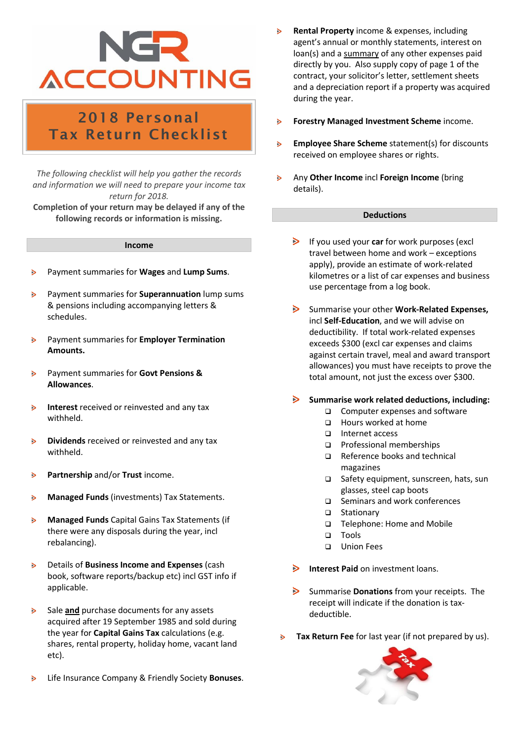# **ACCOUNTING**

### 2018 Personal Tax Return Checklist

*The following checklist will help you gather the records and information we will need to prepare your income tax return for 2018.*

**Completion of your return may be delayed if any of the following records or information is missing.**

#### **Income**

- Payment summaries for **Wages** and **Lump Sums**. ь
- Payment summaries for **Superannuation** lump sums  $\triangleright$ & pensions including accompanying letters & schedules.
- $\triangleright$ Payment summaries for **Employer Termination Amounts.**
- Payment summaries for **Govt Pensions &**   $\mathbf{r}$ **Allowances**.
- $\mathbf{S}$ **Interest** received or reinvested and any tax withheld.
- **Dividends** received or reinvested and any tax  $\triangleright$ withheld.
- $\triangleright$ **Partnership** and/or **Trust** income.
- **Managed Funds** (investments) Tax Statements. ь
- **Managed Funds** Capital Gains Tax Statements (if ь there were any disposals during the year, incl rebalancing).
- Details of **Business Income and Expenses** (cash  $\overline{ }$ book, software reports/backup etc) incl GST info if applicable.
- Sale **and** purchase documents for any assets Ы acquired after 19 September 1985 and sold during the year for **Capital Gains Tax** calculations (e.g. shares, rental property, holiday home, vacant land etc).
- $\triangleright$ Life Insurance Company & Friendly Society **Bonuses**.
- **Rental Property** income & expenses, including agent's annual or monthly statements, interest on loan(s) and a summary of any other expenses paid directly by you. Also supply copy of page 1 of the contract, your solicitor's letter, settlement sheets and a depreciation report if a property was acquired during the year.
- $\triangleright$ **Forestry Managed Investment Scheme** income.
- **Employee Share Scheme** statement(s) for discounts  $\triangleright$ received on employee shares or rights.
- $\triangleright$ Any **Other Income** incl **Foreign Income** (bring details).

#### **Deductions**

- If you used your **car** for work purposes (excl travel between home and work – exceptions apply), provide an estimate of work-related kilometres or a list of car expenses and business use percentage from a log book.
- $\triangleright$ Summarise your other **Work-Related Expenses,** incl **Self-Education**, and we will advise on deductibility. If total work-related expenses exceeds \$300 (excl car expenses and claims against certain travel, meal and award transport allowances) you must have receipts to prove the total amount, not just the excess over \$300.
- **Summarise work related deductions, including:**
	- ❑ Computer expenses and software
	- ❑ Hours worked at home
	- ❑ Internet access
	- ❑ Professional memberships
	- ❑ Reference books and technical magazines
	- ❑ Safety equipment, sunscreen, hats, sun glasses, steel cap boots
	- ❑ Seminars and work conferences
	- ❑ Stationary
	- ❑ Telephone: Home and Mobile
	- ❑ Tools
	- ❑ Union Fees
- $\triangleright$ **Interest Paid** on investment loans.
- $\geq$ Summarise **Donations** from your receipts.The receipt will indicate if the donation is taxdeductible.
- **Tax Return Fee** for last year (if not prepared by us). $\triangleright$